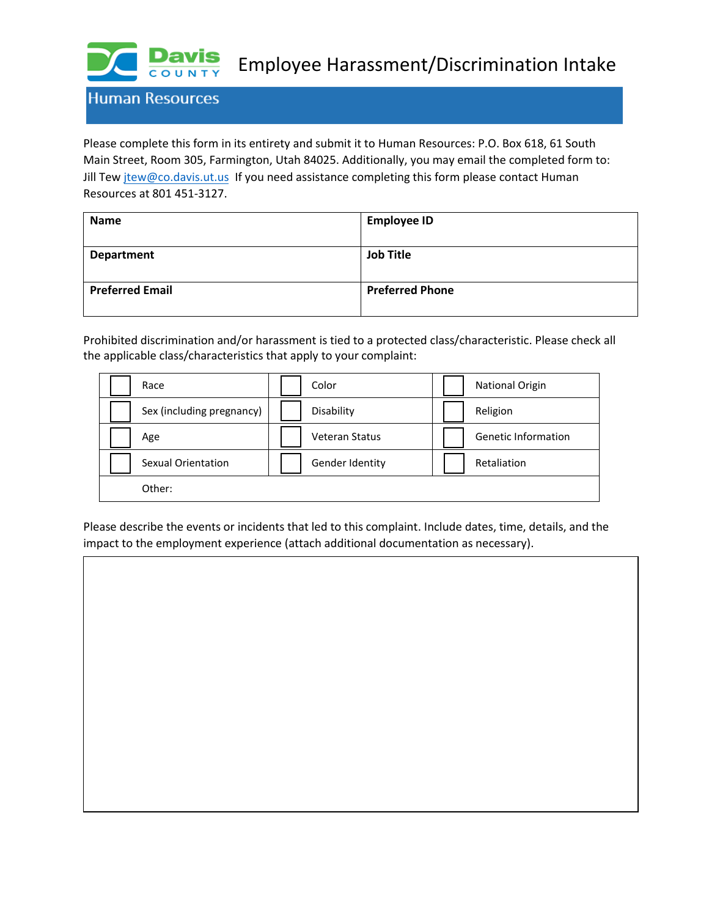

Employee Harassment/Discrimination Intake

**Human Resources** 

Please complete this form in its entirety and submit it to Human Resources: P.O. Box 618, 61 South Main Street, Room 305, Farmington, Utah 84025. Additionally, you may email the completed form to: Jill Tew jtew[@co.davis.ut.us](mailto:jmrobinson@co.davis.ut.us) If you need assistance completing this form please contact Human Resources at 801 451-3127.

| <b>Name</b>            | <b>Employee ID</b>     |
|------------------------|------------------------|
| <b>Department</b>      | <b>Job Title</b>       |
| <b>Preferred Email</b> | <b>Preferred Phone</b> |

Prohibited discrimination and/or harassment is tied to a protected class/characteristic. Please check all the applicable class/characteristics that apply to your complaint:

| Race                      | Color                 | <b>National Origin</b>     |
|---------------------------|-----------------------|----------------------------|
| Sex (including pregnancy) | Disability            | Religion                   |
| Age                       | <b>Veteran Status</b> | <b>Genetic Information</b> |
| Sexual Orientation        | Gender Identity       | Retaliation                |
| Other:                    |                       |                            |

Please describe the events or incidents that led to this complaint. Include dates, time, details, and the impact to the employment experience (attach additional documentation as necessary).